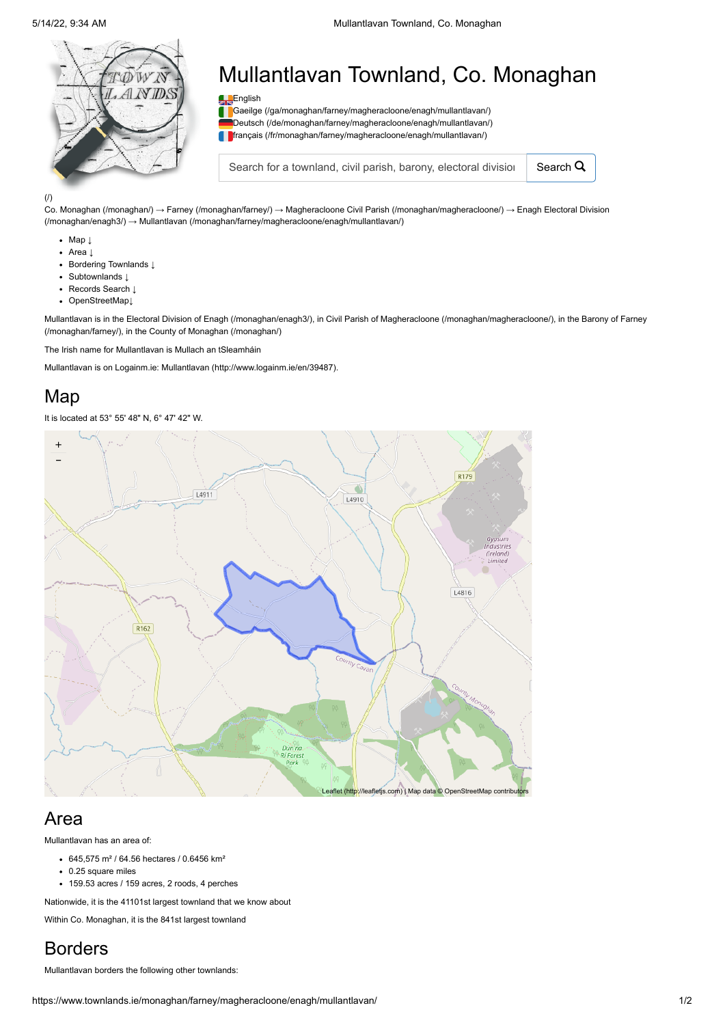

# Mullantlavan Townland, Co. Monaghan

**L**English

[Gaeilge \(/ga/monaghan/farney/magheracloone/enagh/mullantlavan/\)](https://www.townlands.ie/ga/monaghan/farney/magheracloone/enagh/mullantlavan/) [Deutsch \(/de/monaghan/farney/magheracloone/enagh/mullantlavan/\)](https://www.townlands.ie/de/monaghan/farney/magheracloone/enagh/mullantlavan/) [français \(/fr/monaghan/farney/magheracloone/enagh/mullantlavan/\)](https://www.townlands.ie/fr/monaghan/farney/magheracloone/enagh/mullantlavan/) П

Search for a townland, civil parish, barony, electoral division  $\Box$  Search  $\Box$ 

[\(/\)](https://www.townlands.ie/)

[Co. Monaghan \(/monaghan/\)](https://www.townlands.ie/monaghan/) → [Farney \(/monaghan/farney/\)](https://www.townlands.ie/monaghan/farney/) → [Magheracloone Civil Parish \(/monaghan/magheracloone/\)](https://www.townlands.ie/monaghan/magheracloone/) → Enagh Electoral Division (/monaghan/enagh3/) → [Mullantlavan \(/monaghan/farney/magheracloone/enagh/mullantlavan/\)](https://www.townlands.ie/monaghan/enagh3/)

- [Map ↓](#page-0-0)
- [Area ↓](#page-0-1)  $\ddot{\phantom{a}}$
- [Bordering Townlands ↓](#page-0-2)
- [Subtownlands ↓](#page-1-0)
- [Records Search ↓](#page-1-1)
- [OpenStreetMap↓](#page-1-2)

[Mullantlavan is in the Electoral Division of Enagh \(/monaghan/enagh3/\), in Civil Parish of Magheracloone \(/monaghan/magheracloone/\), in the Barony of Farney](https://www.townlands.ie/monaghan/farney/) (/monaghan/farney/), in the County of [Monaghan \(/monaghan/\)](https://www.townlands.ie/monaghan/)

The Irish name for Mullantlavan is Mullach an tSleamháin

Mullantlavan is on Logainm.ie: [Mullantlavan \(http://www.logainm.ie/en/39487\)](http://www.logainm.ie/en/39487).

### Map

It is located at 53° 55' 48" N, 6° 47' 42" W.

<span id="page-0-0"></span>

#### <span id="page-0-1"></span>Area

Mullantlavan has an area of:

- 645,575 m² / 64.56 hectares / 0.6456 km²
- 0.25 square miles
- 159.53 acres / 159 acres, 2 roods, 4 perches

Nationwide, it is the 41101st largest townland that we know about

Within Co. Monaghan, it is the 841st largest townland

#### <span id="page-0-2"></span>Borders

Mullantlavan borders the following other townlands: